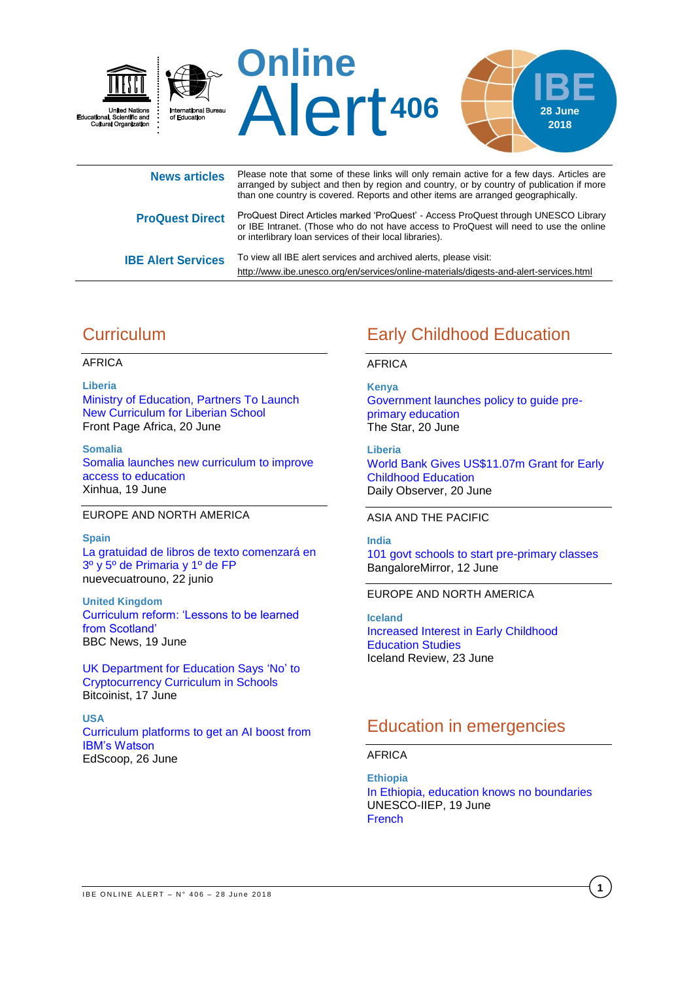

**ProQuest Direct** ProQuest Direct Articles marked 'ProQuest' - Access ProQuest through UNESCO Library or IBE Intranet. (Those who do not have access to ProQuest will need to use the online or interlibrary loan services of their local libraries). **IBE Alert Services** To view all IBE alert services and archived alerts, please visit:

<http://www.ibe.unesco.org/en/services/online-materials/digests-and-alert-services.html>

# **Curriculum**

### AFRICA

# **Liberia**

[Ministry of Education, Partners To Launch](http://frontpageafricaonline.com/news/ministry-of-education-partners-to-launch-new-curriculum-for-liberian-school/)  [New Curriculum for Liberian School](http://frontpageafricaonline.com/news/ministry-of-education-partners-to-launch-new-curriculum-for-liberian-school/) Front Page Africa, 20 June

## **Somalia**

[Somalia launches new curriculum to improve](http://www.xinhuanet.com/english/2018-06/19/c_137265298.htm)  [access to education](http://www.xinhuanet.com/english/2018-06/19/c_137265298.htm) Xinhua, 19 June

## EUROPE AND NORTH AMERICA

#### **Spain**

[La gratuidad de libros de texto comenzará en](https://nuevecuatrouno.com/2018/06/22/la-gratuidad-de-libros-de-texto-se-iniciara-en-3o-y-5o-de-primaria-y-1o-de-fp/)  [3º y 5º de Primaria y 1º de FP](https://nuevecuatrouno.com/2018/06/22/la-gratuidad-de-libros-de-texto-se-iniciara-en-3o-y-5o-de-primaria-y-1o-de-fp/) nuevecuatrouno, 22 junio

#### **United Kingdom** [Curriculum reform: 'Lessons to be learned](https://www.bbc.com/news/uk-wales-44522981)  [from Scotland'](https://www.bbc.com/news/uk-wales-44522981) BBC News, 19 June

[UK Department for Education Says 'No'](http://bitcoinist.com/uk-department-education-says-no-cryptocurrency-curriculum-schools/) to [Cryptocurrency Curriculum in Schools](http://bitcoinist.com/uk-department-education-says-no-cryptocurrency-curriculum-schools/) Bitcoinist, 17 June

## **USA**

[Curriculum platforms to get an AI](https://edscoop.com/ibm-watson-artificial-intelligence-scholastic-edmodo-curriculum) boost from [IBM's Watson](https://edscoop.com/ibm-watson-artificial-intelligence-scholastic-edmodo-curriculum) EdScoop, 26 June

# Early Childhood Education

### AFRICA

**Kenya** [Government launches policy to guide pre](https://www.the-star.co.ke/news/2018/06/20/government-launches-policy-to-guide-pre-primary-education_c1775555)primary [education](https://www.the-star.co.ke/news/2018/06/20/government-launches-policy-to-guide-pre-primary-education_c1775555) The Star, 20 June

**Liberia** [World Bank Gives US\\$11.07m Grant for Early](https://www.liberianobserver.com/news/world-bank-gives-us11-07m-grant-for-early-childhood-education/)  [Childhood Education](https://www.liberianobserver.com/news/world-bank-gives-us11-07m-grant-for-early-childhood-education/) Daily Observer, 20 June

## ASIA AND THE PACIFIC

#### **India**

101 [govt schools to start pre-primary classes](https://bangaloremirror.indiatimes.com/bangalore/others/101-govt-schools-to-start-pre-primary-classes/articleshow/64547984.cms) BangaloreMirror, 12 June

## EUROPE AND NORTH AMERICA

**Iceland** [Increased Interest in Early Childhood](http://icelandreview.com/news/2018/06/23/increased-interest-early-childhood-education-studies)  [Education Studies](http://icelandreview.com/news/2018/06/23/increased-interest-early-childhood-education-studies) Iceland Review, 23 June

# Education in emergencies

#### AFRICA

**Ethiopia** [In Ethiopia, education knows no boundaries](http://www.iiep.unesco.org/en/ethiopia-education-knows-no-boundaries-4525) UNESCO-IIEP, 19 June **[French](http://www.iiep.unesco.org/fr/en-ethiopie-leducation-ne-connait-pas-de-frontieres-4527)** 

**1**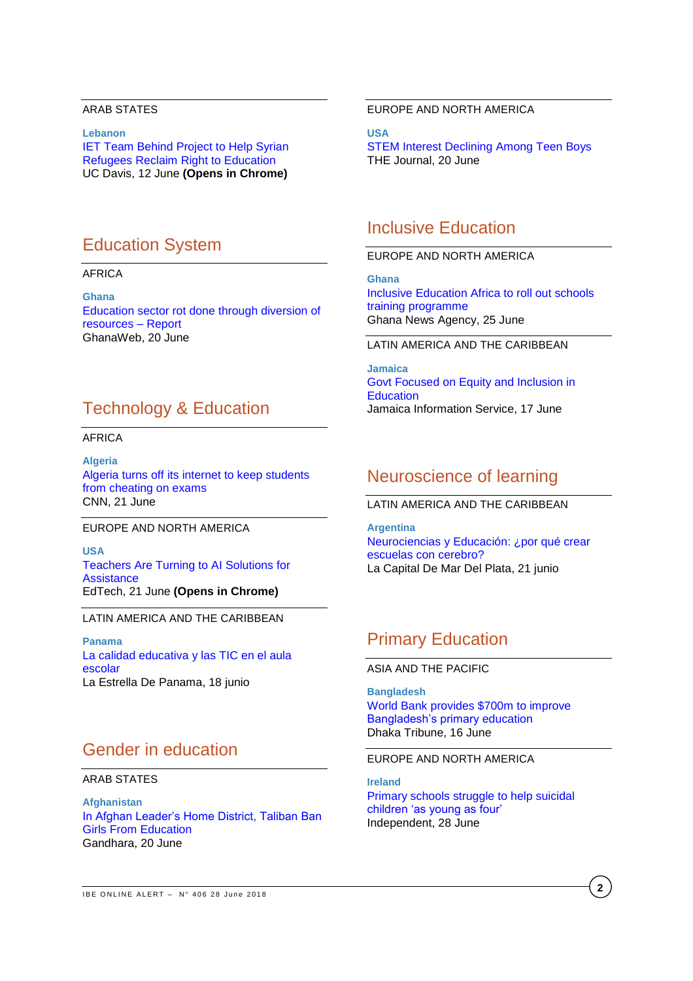## ARAB STATES

**Lebanon** [IET Team Behind Project to Help Syrian](https://www.ucdavis.edu/news/iet-team-behind-project-help-syrian-refugees-reclaim-right-education)  [Refugees Reclaim Right to Education](https://www.ucdavis.edu/news/iet-team-behind-project-help-syrian-refugees-reclaim-right-education) UC Davis, 12 June **(Opens in Chrome)**

# Education System

## AFRICA

**Ghana** [Education sector rot done through diversion of](https://www.ghanaweb.com/GhanaHomePage/NewsArchive/Education-sector-rot-done-through-diversion-of-resources-Report-661885)  [resources –](https://www.ghanaweb.com/GhanaHomePage/NewsArchive/Education-sector-rot-done-through-diversion-of-resources-Report-661885) Report GhanaWeb, 20 June

# Technology & Education

### AFRICA

**Algeria** [Algeria turns off its internet to keep students](https://edition.cnn.com/2018/06/21/africa/algeria-turns-off-internet-intl/)  [from cheating on exams](https://edition.cnn.com/2018/06/21/africa/algeria-turns-off-internet-intl/) CNN, 21 June

#### EUROPE AND NORTH AMERICA

**USA** [Teachers Are Turning to AI Solutions for](https://edtechmagazine.com/k12/article/2018/06/teachers-are-turning-ai-solutions-assistance)  **[Assistance](https://edtechmagazine.com/k12/article/2018/06/teachers-are-turning-ai-solutions-assistance)** EdTech, 21 June **(Opens in Chrome)**

LATIN AMERICA AND THE CARIBBEAN

**Panama** La [calidad educativa y las TIC en el aula](http://laestrella.com.pa/estilo/cultura/calidad-educativa-aula-escolar/24068610)  [escolar](http://laestrella.com.pa/estilo/cultura/calidad-educativa-aula-escolar/24068610) La Estrella De Panama, 18 junio

# Gender in education

## ARAB STATES

**Afghanistan** [In Afghan Leader's Home District, Taliban Ban](https://gandhara.rferl.org/a/afghan-leader-home-district-taliban-ban-girls-from-education/29306920.html)  [Girls From Education](https://gandhara.rferl.org/a/afghan-leader-home-district-taliban-ban-girls-from-education/29306920.html) Gandhara, 20 June

## EUROPE AND NORTH AMERICA

**USA** [STEM Interest Declining Among Teen Boys](https://thejournal.com/articles/2018/06/20/stem-interest-declining-among-teen-boys.aspx) THE Journal, 20 June

# Inclusive Education

### EUROPE AND NORTH AMERICA

**Ghana** [Inclusive Education Africa to roll out schools](http://www.ghananewsagency.org/education/inclusive-education-africa-to-roll-out-schools-training-programme-134617)  [training programme](http://www.ghananewsagency.org/education/inclusive-education-africa-to-roll-out-schools-training-programme-134617)  Ghana News Agency, 25 June

LATIN AMERICA AND THE CARIBBEAN

**Jamaica** [Govt Focused on Equity and Inclusion in](https://jis.gov.jm/govt-focussed-on-equity-and-inclusion-in-education/)  **[Education](https://jis.gov.jm/govt-focussed-on-equity-and-inclusion-in-education/)** Jamaica Information Service, 17 June

# Neuroscience of learning

### LATIN AMERICA AND THE CARIBBEAN

**Argentina** [Neurociencias y Educación: ¿por qué crear](https://www.lacapitalmdp.com/neurociencias-y-educacion-por-que-crear-escuelas-con-cerebro/)  [escuelas con cerebro?](https://www.lacapitalmdp.com/neurociencias-y-educacion-por-que-crear-escuelas-con-cerebro/) La Capital De Mar Del Plata, 21 junio

# Primary Education

### ASIA AND THE PACIFIC

**Bangladesh** [World Bank provides \\$700m to improve](https://www.dhakatribune.com/bangladesh/education/2018/06/16/world-bank-provides-700m-to-improve-bangladesh-s-primary-education)  [Bangladesh's primary education](https://www.dhakatribune.com/bangladesh/education/2018/06/16/world-bank-provides-700m-to-improve-bangladesh-s-primary-education) Dhaka Tribune, 16 June

#### EUROPE AND NORTH AMERICA

**Ireland** [Primary schools struggle to help suicidal](https://www.independent.ie/irish-news/education/primary-schools-struggle-to-help-suicidal-children-as-young-as-four-37029432.html)  [children 'as young as four'](https://www.independent.ie/irish-news/education/primary-schools-struggle-to-help-suicidal-children-as-young-as-four-37029432.html) Independent, 28 June

**2**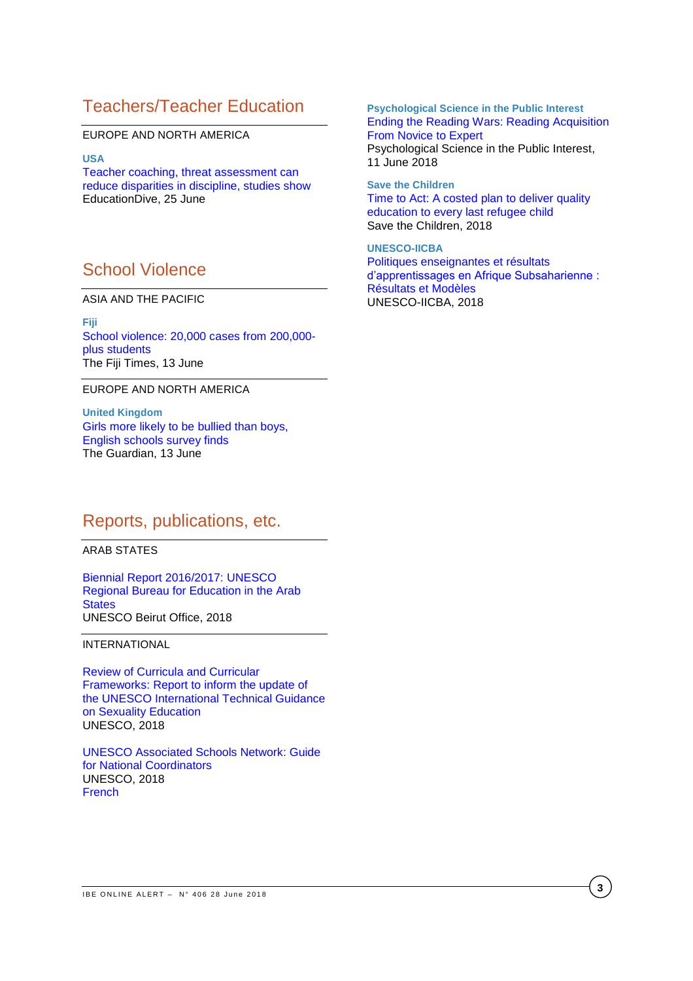# Teachers/Teacher Education

### EUROPE AND NORTH AMERICA

**USA**

Teacher coaching, [threat assessment can](https://www.educationdive.com/news/teacher-coaching-threat-assessment-can-reduce-disparities-in-discipline-s/526395/)  [reduce disparities in discipline, studies show](https://www.educationdive.com/news/teacher-coaching-threat-assessment-can-reduce-disparities-in-discipline-s/526395/) EducationDive, 25 June

# School Violence

ASIA AND THE PACIFIC

**Fiji** [School violence: 20,000 cases from 200,000](http://www.fijitimes.com/school-violence-20000-cases-from-200000-plus-students/) [plus students](http://www.fijitimes.com/school-violence-20000-cases-from-200000-plus-students/) The Fiji Times, 13 June

EUROPE AND NORTH AMERICA

**United Kingdom** [Girls more likely to be bullied than boys,](https://www.theguardian.com/society/2018/jun/13/girls-more-likely-to-be-bullied-than-boys-english-schools-survey-finds)  [English schools survey finds](https://www.theguardian.com/society/2018/jun/13/girls-more-likely-to-be-bullied-than-boys-english-schools-survey-finds) The Guardian, 13 June

# Reports, publications, etc.

ARAB STATES

[Biennial Report 2016/2017: UNESCO](http://unesdoc.unesco.org/images/0026/002646/264646e.pdf)  [Regional Bureau for Education in the](http://unesdoc.unesco.org/images/0026/002646/264646e.pdf) Arab **[States](http://unesdoc.unesco.org/images/0026/002646/264646e.pdf)** UNESCO Beirut Office, 2018

INTERNATIONAL

[Review of Curricula and Curricular](http://unesdoc.unesco.org/images/0026/002646/264650e.pdf)  [Frameworks: Report to inform the update of](http://unesdoc.unesco.org/images/0026/002646/264650e.pdf)  [the UNESCO International Technical Guidance](http://unesdoc.unesco.org/images/0026/002646/264650e.pdf)  [on Sexuality Education](http://unesdoc.unesco.org/images/0026/002646/264650e.pdf) UNESCO, 2018

[UNESCO Associated Schools Network: Guide](http://unesdoc.unesco.org/images/0026/002619/261994e.pdf)  [for National Coordinators](http://unesdoc.unesco.org/images/0026/002619/261994e.pdf) UNESCO, 2018 **[French](http://unesdoc.unesco.org/images/0026/002619/261994f.pdf)** 

### **Psychological Science in the Public Interest** [Ending the Reading Wars: Reading Acquisition](http://journals.sagepub.com/stoken/default+domain/10.1177/1529100618772271-free/full)  [From Novice to Expert](http://journals.sagepub.com/stoken/default+domain/10.1177/1529100618772271-free/full)

Psychological Science in the Public Interest, 11 June 2018

### **Save the Children**

[Time to Act: A costed plan to deliver quality](https://www.savethechildren.net/sites/default/files/770_TimetoAct_Report_v13_LR_Multi.pdf)  [education to every last refugee child](https://www.savethechildren.net/sites/default/files/770_TimetoAct_Report_v13_LR_Multi.pdf) Save the Children, 2018

**UNESCO-IICBA**

[Politiques enseignantes et résultats](http://unesdoc.unesco.org/images/0024/002465/246501f.pdf)  [d'apprentissages en Afrique Subsaharienne](http://unesdoc.unesco.org/images/0024/002465/246501f.pdf) : [Résultats et Modèles](http://unesdoc.unesco.org/images/0024/002465/246501f.pdf) UNESCO-IICBA, 2018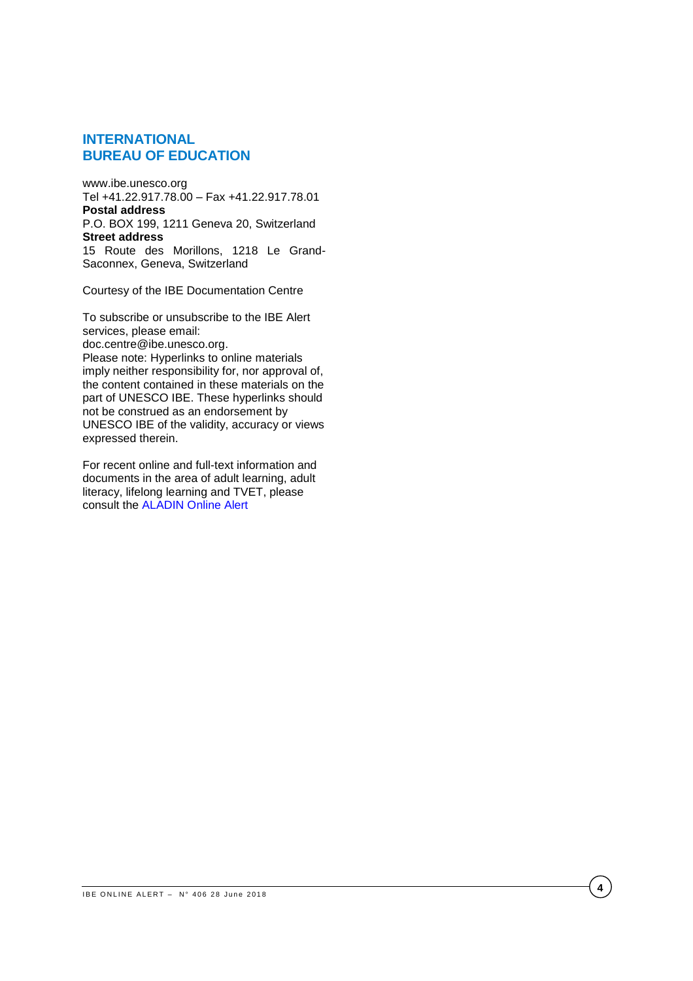## **INTERNATIONAL BUREAU OF EDUCATION**

[www.ibe.unesco.org](http://www.ibe.unesco.org/) Tel +41.22.917.78.00 – Fax +41.22.917.78.01 **Postal address** P.O. BOX 199, 1211 Geneva 20, Switzerland **Street address** 15 Route des Morillons, 1218 Le Grand-Saconnex, Geneva, Switzerland

Courtesy of the IBE Documentation Centre

To subscribe or unsubscribe to the IBE Alert services, please email: [doc.centre@ibe.unesco.org.](mailto:doc.centre@ibe.unesco.org) Please note: Hyperlinks to online materials imply neither responsibility for, nor approval of, the content contained in these materials on the part of UNESCO IBE. These hyperlinks should not be construed as an endorsement by UNESCO IBE of the validity, accuracy or views expressed therein.

For recent online and full-text information and documents in the area of adult learning, adult literacy, lifelong learning and TVET, please consult the [ALADIN Online Alert](https://mailchi.mp/unesco/eh8vycud52-1438629)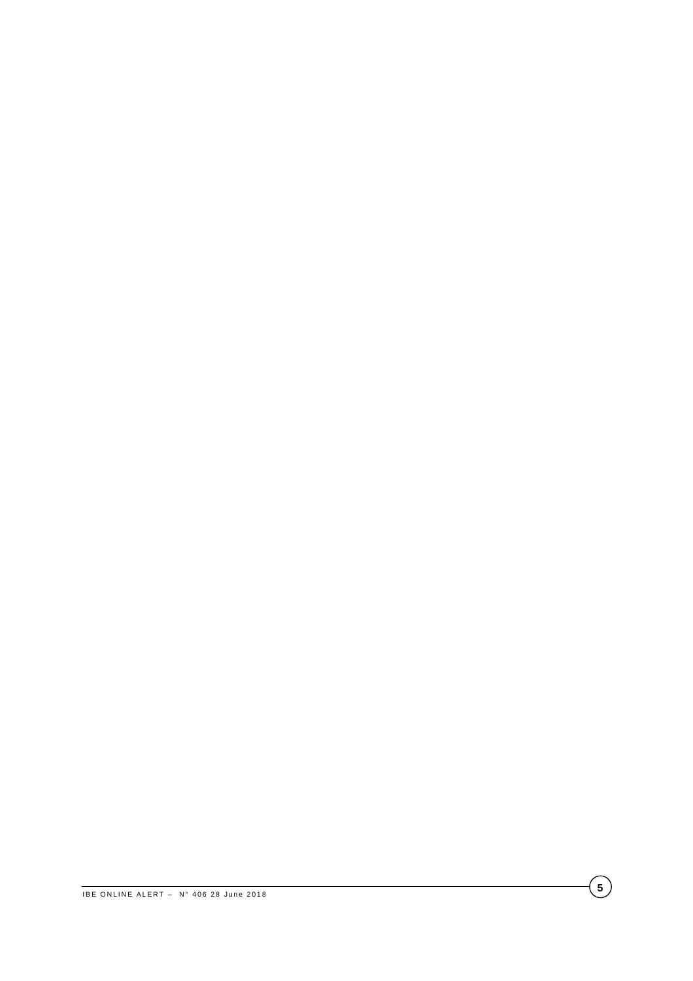$\bigodot$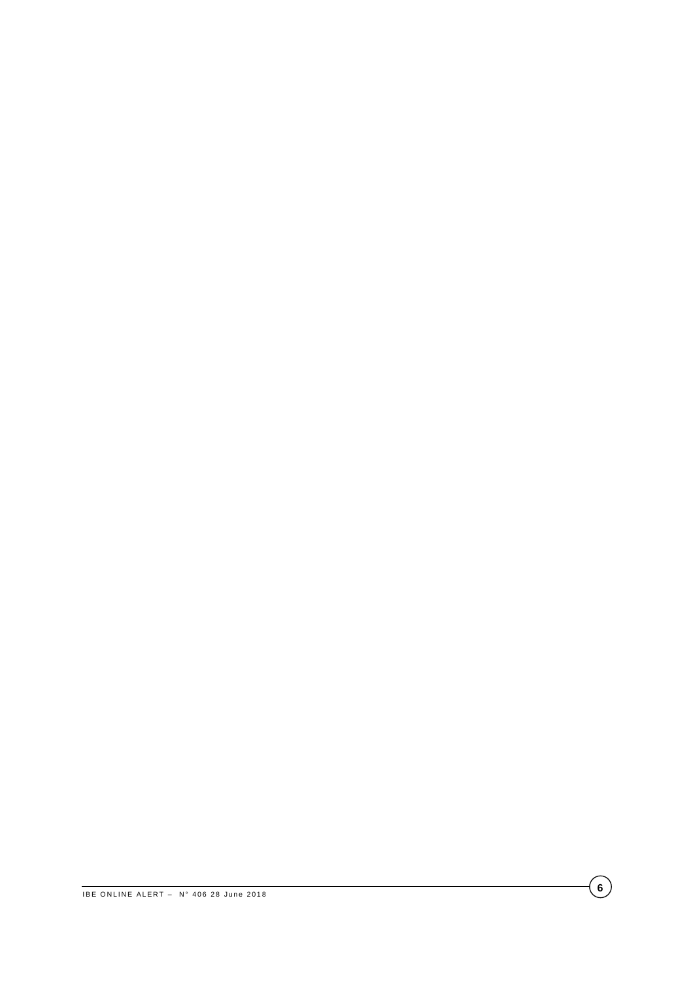$\odot$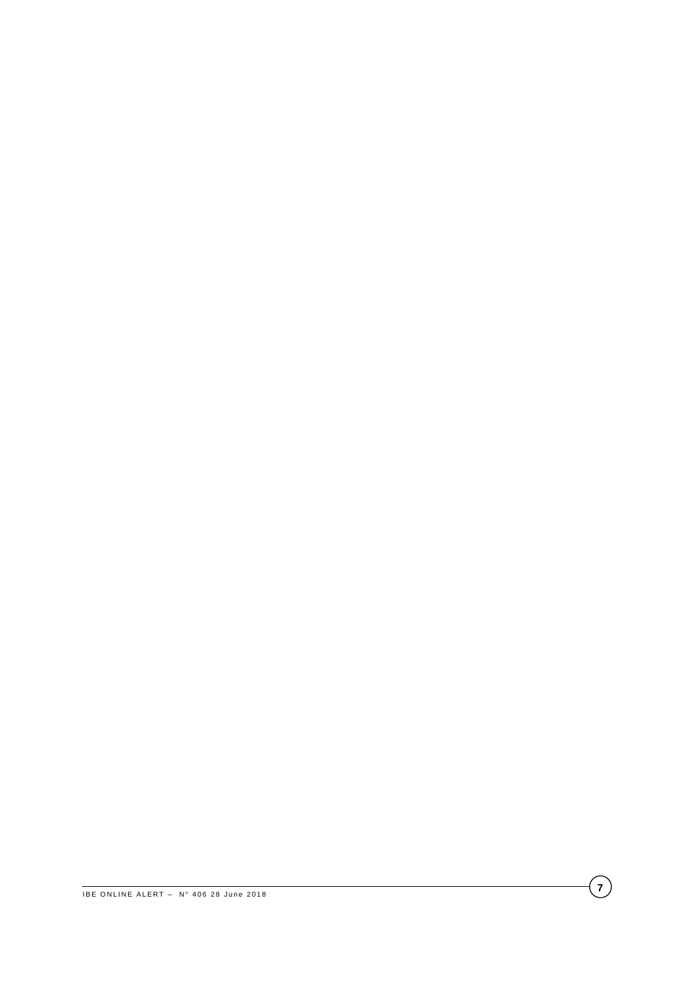$\bigcirc$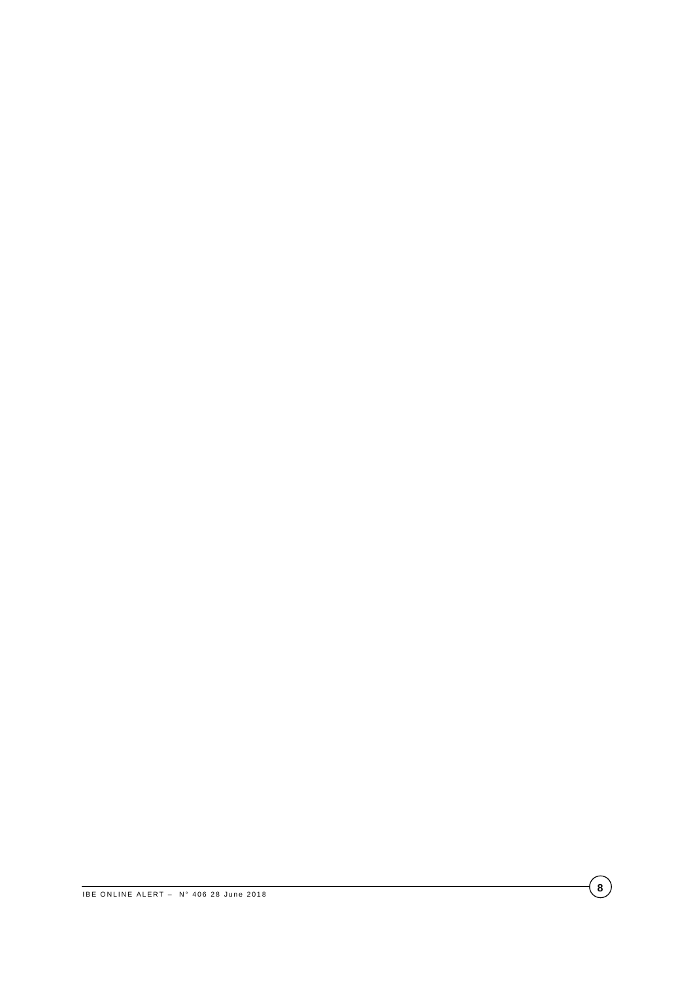$\circledast$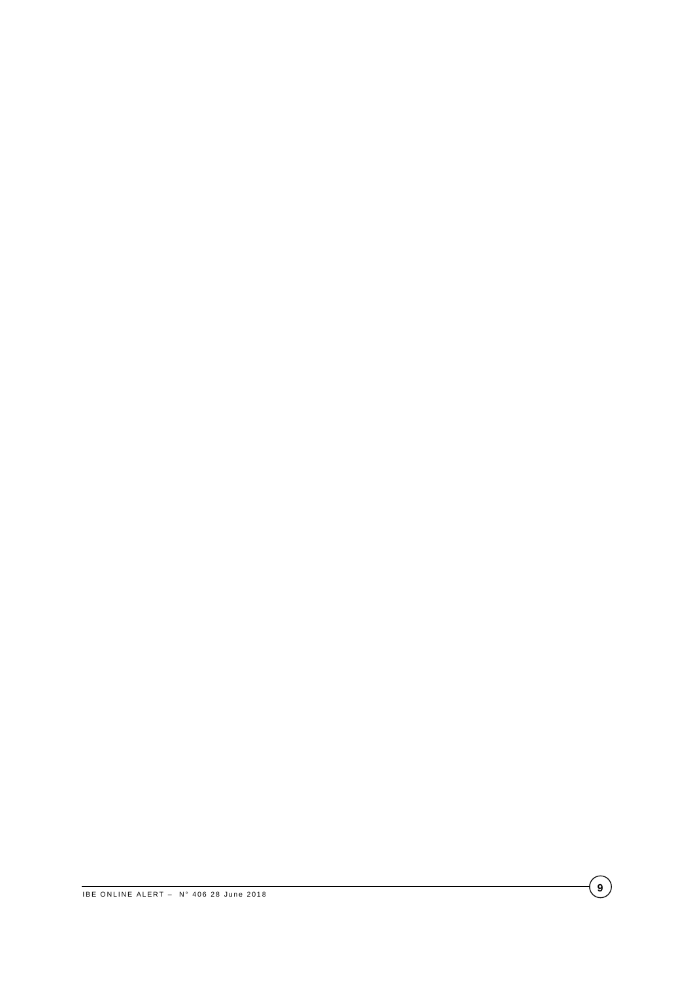$\bigodot$